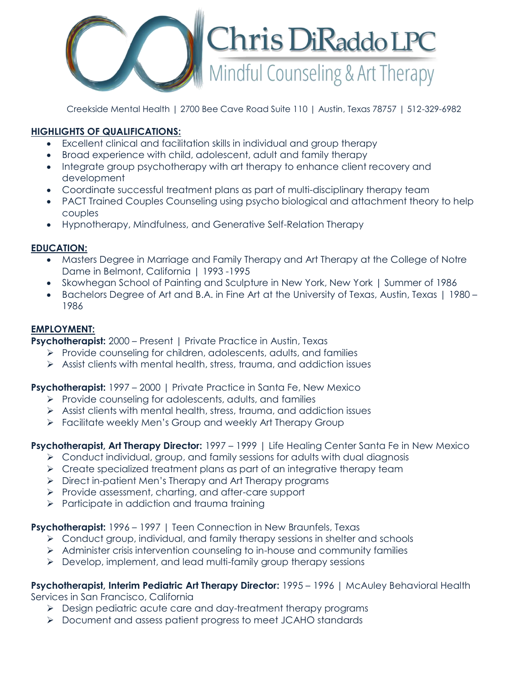

Creekside Mental Health | 2700 Bee Cave Road Suite 110 | Austin, Texas 78757 | 512-329-6982

# **HIGHLIGHTS OF QUALIFICATIONS:**

- Excellent clinical and facilitation skills in individual and group therapy
- Broad experience with child, adolescent, adult and family therapy
- Integrate group psychotherapy with art therapy to enhance client recovery and development
- Coordinate successful treatment plans as part of multi-disciplinary therapy team
- PACT Trained Couples Counseling using psycho biological and attachment theory to help couples
- Hypnotherapy, Mindfulness, and Generative Self-Relation Therapy

## **EDUCATION:**

- Masters Degree in Marriage and Family Therapy and Art Therapy at the College of Notre Dame in Belmont, California | 1993 -1995
- Skowhegan School of Painting and Sculpture in New York, New York | Summer of 1986
- Bachelors Degree of Art and B.A. in Fine Art at the University of Texas, Austin, Texas | 1980 1986

## **EMPLOYMENT:**

**Psychotherapist:** 2000 – Present | Private Practice in Austin, Texas

- $\triangleright$  Provide counseling for children, adolescents, adults, and families
- $\triangleright$  Assist clients with mental health, stress, trauma, and addiction issues

## **Psychotherapist:** 1997 – 2000 | Private Practice in Santa Fe, New Mexico

- $\triangleright$  Provide counseling for adolescents, adults, and families
- $\triangleright$  Assist clients with mental health, stress, trauma, and addiction issues
- Facilitate weekly Men's Group and weekly Art Therapy Group

**Psychotherapist, Art Therapy Director:** 1997 – 1999 | Life Healing Center Santa Fe in New Mexico

- $\triangleright$  Conduct individual, group, and family sessions for adults with dual diagnosis
- $\triangleright$  Create specialized treatment plans as part of an integrative therapy team
- ▶ Direct in-patient Men's Therapy and Art Therapy programs
- Provide assessment, charting, and after-care support
- $\triangleright$  Participate in addiction and trauma training

**Psychotherapist:** 1996 – 1997 | Teen Connection in New Braunfels, Texas

- $\triangleright$  Conduct group, individual, and family therapy sessions in shelter and schools
- Administer crisis intervention counseling to in-house and community families
- Develop, implement, and lead multi-family group therapy sessions

**Psychotherapist, Interim Pediatric Art Therapy Director:** 1995 – 1996 | McAuley Behavioral Health Services in San Francisco, California

- **Design pediatric acute care and day-treatment therapy programs**
- Document and assess patient progress to meet JCAHO standards